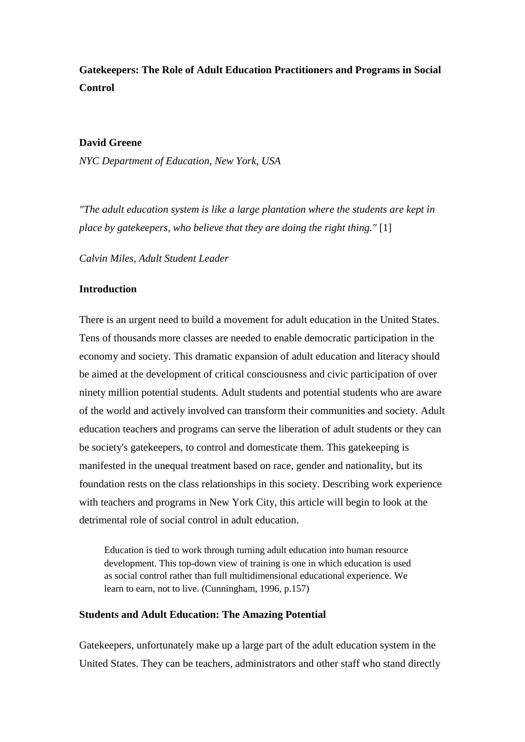# **Gatekeepers: The Role of Adult Education Practitioners and Programs in Social Control**

#### **David Greene**

*NYC Department of Education, New York, USA*

*"The adult education system is like a large plantation where the students are kept in place by gatekeepers, who believe that they are doing the right thing."* [\[1\]](http://www.jceps.com/index.php?pageID=article&articleID=107#_edn1)

*Calvin Miles, Adult Student Leader* 

#### **Introduction**

There is an urgent need to build a movement for adult education in the United States. Tens of thousands more classes are needed to enable democratic participation in the economy and society. This dramatic expansion of adult education and literacy should be aimed at the development of critical consciousness and civic participation of over ninety million potential students. Adult students and potential students who are aware of the world and actively involved can transform their communities and society. Adult education teachers and programs can serve the liberation of adult students or they can be society's gatekeepers, to control and domesticate them. This gatekeeping is manifested in the unequal treatment based on race, gender and nationality, but its foundation rests on the class relationships in this society. Describing work experience with teachers and programs in New York City, this article will begin to look at the detrimental role of social control in adult education.

Education is tied to work through turning adult education into human resource development. This top-down view of training is one in which education is used as social control rather than full multidimensional educational experience. We learn to earn, not to live. (Cunningham, 1996, p.157)

#### **Students and Adult Education: The Amazing Potential**

Gatekeepers, unfortunately make up a large part of the adult education system in the United States. They can be teachers, administrators and other staff who stand directly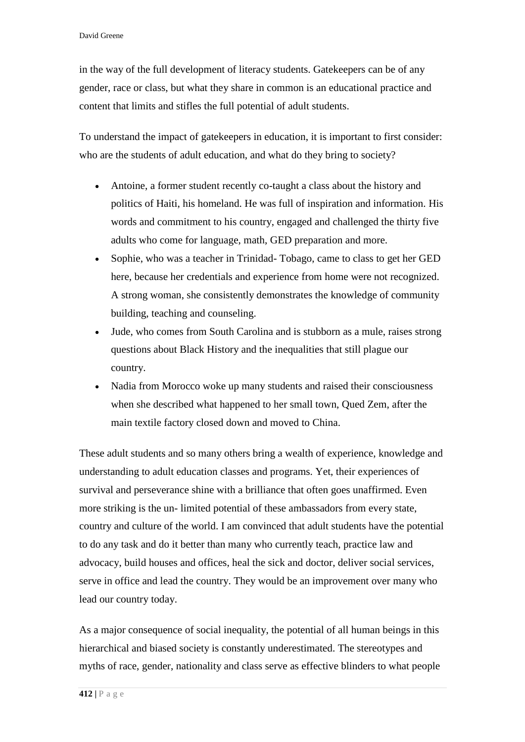in the way of the full development of literacy students. Gatekeepers can be of any gender, race or class, but what they share in common is an educational practice and content that limits and stifles the full potential of adult students.

To understand the impact of gatekeepers in education, it is important to first consider: who are the students of adult education, and what do they bring to society?

- Antoine, a former student recently co-taught a class about the history and politics of Haiti, his homeland. He was full of inspiration and information. His words and commitment to his country, engaged and challenged the thirty five adults who come for language, math, GED preparation and more.
- Sophie, who was a teacher in Trinidad- Tobago, came to class to get her GED here, because her credentials and experience from home were not recognized. A strong woman, she consistently demonstrates the knowledge of community building, teaching and counseling.
- Jude, who comes from South Carolina and is stubborn as a mule, raises strong questions about Black History and the inequalities that still plague our country.
- Nadia from Morocco woke up many students and raised their consciousness when she described what happened to her small town, Qued Zem, after the main textile factory closed down and moved to China.

These adult students and so many others bring a wealth of experience, knowledge and understanding to adult education classes and programs. Yet, their experiences of survival and perseverance shine with a brilliance that often goes unaffirmed. Even more striking is the un- limited potential of these ambassadors from every state, country and culture of the world. I am convinced that adult students have the potential to do any task and do it better than many who currently teach, practice law and advocacy, build houses and offices, heal the sick and doctor, deliver social services, serve in office and lead the country. They would be an improvement over many who lead our country today.

As a major consequence of social inequality, the potential of all human beings in this hierarchical and biased society is constantly underestimated. The stereotypes and myths of race, gender, nationality and class serve as effective blinders to what people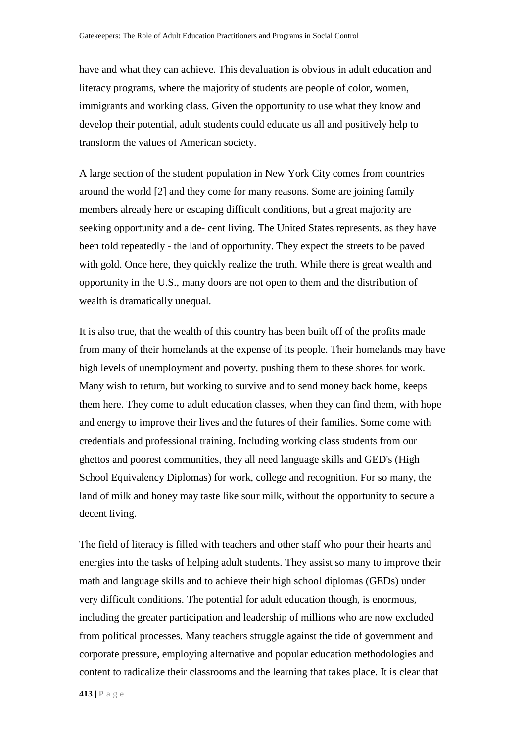have and what they can achieve. This devaluation is obvious in adult education and literacy programs, where the majority of students are people of color, women, immigrants and working class. Given the opportunity to use what they know and develop their potential, adult students could educate us all and positively help to transform the values of American society.

A large section of the student population in New York City comes from countries around the world [\[2\]](http://www.jceps.com/index.php?pageID=article&articleID=107#_edn2) and they come for many reasons. Some are joining family members already here or escaping difficult conditions, but a great majority are seeking opportunity and a de- cent living. The United States represents, as they have been told repeatedly - the land of opportunity. They expect the streets to be paved with gold. Once here, they quickly realize the truth. While there is great wealth and opportunity in the U.S., many doors are not open to them and the distribution of wealth is dramatically unequal.

It is also true, that the wealth of this country has been built off of the profits made from many of their homelands at the expense of its people. Their homelands may have high levels of unemployment and poverty, pushing them to these shores for work. Many wish to return, but working to survive and to send money back home, keeps them here. They come to adult education classes, when they can find them, with hope and energy to improve their lives and the futures of their families. Some come with credentials and professional training. Including working class students from our ghettos and poorest communities, they all need language skills and GED's (High School Equivalency Diplomas) for work, college and recognition. For so many, the land of milk and honey may taste like sour milk, without the opportunity to secure a decent living.

The field of literacy is filled with teachers and other staff who pour their hearts and energies into the tasks of helping adult students. They assist so many to improve their math and language skills and to achieve their high school diplomas (GEDs) under very difficult conditions. The potential for adult education though, is enormous, including the greater participation and leadership of millions who are now excluded from political processes. Many teachers struggle against the tide of government and corporate pressure, employing alternative and popular education methodologies and content to radicalize their classrooms and the learning that takes place. It is clear that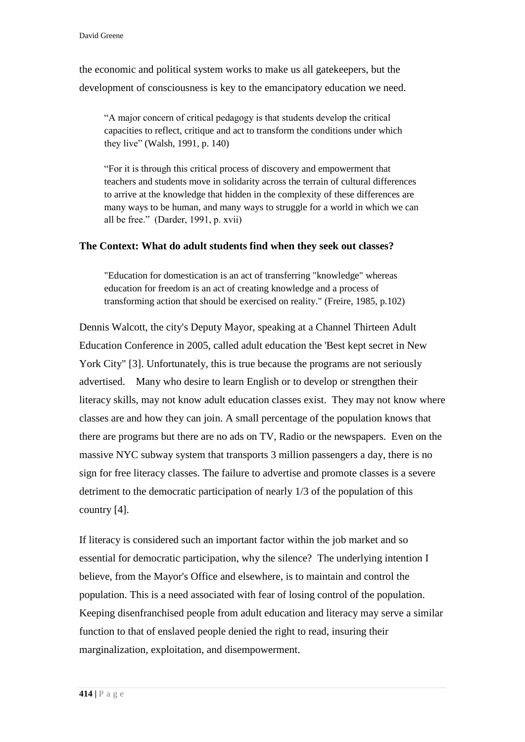the economic and political system works to make us all gatekeepers, but the development of consciousness is key to the emancipatory education we need.

"A major concern of critical pedagogy is that students develop the critical capacities to reflect, critique and act to transform the conditions under which they live" (Walsh, 1991, p. 140)

"For it is through this critical process of discovery and empowerment that teachers and students move in solidarity across the terrain of cultural differences to arrive at the knowledge that hidden in the complexity of these differences are many ways to be human, and many ways to struggle for a world in which we can all be free." (Darder, 1991, p. xvii)

## **The Context: What do adult students find when they seek out classes?**

"Education for domestication is an act of transferring "knowledge" whereas education for freedom is an act of creating knowledge and a process of transforming action that should be exercised on reality." (Freire, 1985, p.102)

Dennis Walcott, the city's Deputy Mayor, speaking at a Channel Thirteen Adult Education Conference in 2005, called adult education the 'Best kept secret in New York City" [3]. Unfortunately, this is true because the programs are not seriously advertised. Many who desire to learn English or to develop or strengthen their literacy skills, may not know adult education classes exist. They may not know where classes are and how they can join. A small percentage of the population knows that there are programs but there are no ads on TV, Radio or the newspapers. Even on the massive NYC subway system that transports 3 million passengers a day, there is no sign for free literacy classes. The failure to advertise and promote classes is a severe detriment to the democratic participation of nearly 1/3 of the population of this country [4].

If literacy is considered such an important factor within the job market and so essential for democratic participation, why the silence? The underlying intention I believe, from the Mayor's Office and elsewhere, is to maintain and control the population. This is a need associated with fear of losing control of the population. Keeping disenfranchised people from adult education and literacy may serve a similar function to that of enslaved people denied the right to read, insuring their marginalization, exploitation, and disempowerment.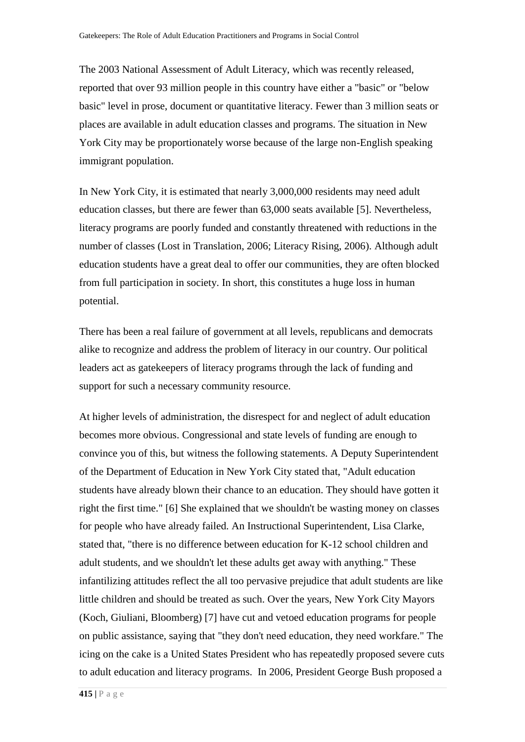The 2003 National Assessment of Adult Literacy, which was recently released, reported that over 93 million people in this country have either a "basic" or "below basic" level in prose, document or quantitative literacy. Fewer than 3 million seats or places are available in adult education classes and programs. The situation in New York City may be proportionately worse because of the large non-English speaking immigrant population.

In New York City, it is estimated that nearly 3,000,000 residents may need adult education classes, but there are fewer than 63,000 seats available [5]. Nevertheless, literacy programs are poorly funded and constantly threatened with reductions in the number of classes (Lost in Translation, 2006; Literacy Rising, 2006). Although adult education students have a great deal to offer our communities, they are often blocked from full participation in society. In short, this constitutes a huge loss in human potential.

There has been a real failure of government at all levels, republicans and democrats alike to recognize and address the problem of literacy in our country. Our political leaders act as gatekeepers of literacy programs through the lack of funding and support for such a necessary community resource.

At higher levels of administration, the disrespect for and neglect of adult education becomes more obvious. Congressional and state levels of funding are enough to convince you of this, but witness the following statements. A Deputy Superintendent of the Department of Education in New York City stated that, "Adult education students have already blown their chance to an education. They should have gotten it right the first time." [6] She explained that we shouldn't be wasting money on classes for people who have already failed. An Instructional Superintendent, Lisa Clarke, stated that, "there is no difference between education for K-12 school children and adult students, and we shouldn't let these adults get away with anything." These infantilizing attitudes reflect the all too pervasive prejudice that adult students are like little children and should be treated as such. Over the years, New York City Mayors (Koch, Giuliani, Bloomberg) [7] have cut and vetoed education programs for people on public assistance, saying that "they don't need education, they need workfare." The icing on the cake is a United States President who has repeatedly proposed severe cuts to adult education and literacy programs. In 2006, President George Bush proposed a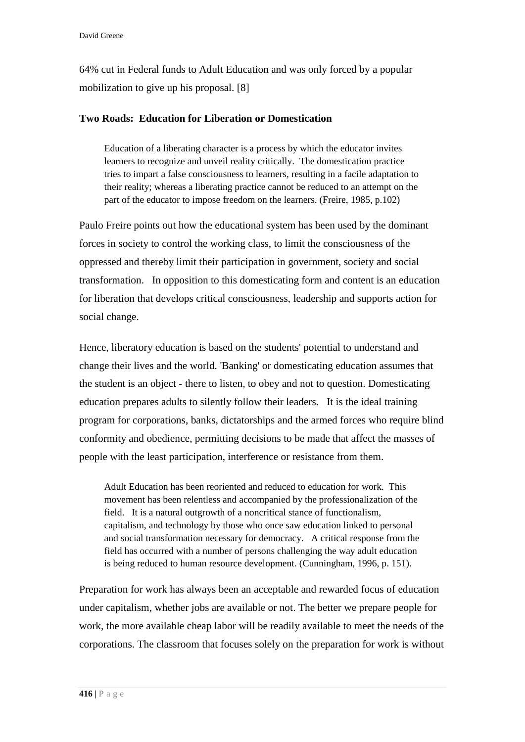64% cut in Federal funds to Adult Education and was only forced by a popular mobilization to give up his proposal. [8]

## **Two Roads: Education for Liberation or Domestication**

Education of a liberating character is a process by which the educator invites learners to recognize and unveil reality critically. The domestication practice tries to impart a false consciousness to learners, resulting in a facile adaptation to their reality; whereas a liberating practice cannot be reduced to an attempt on the part of the educator to impose freedom on the learners. (Freire, 1985, p.102)

Paulo Freire points out how the educational system has been used by the dominant forces in society to control the working class, to limit the consciousness of the oppressed and thereby limit their participation in government, society and social transformation. In opposition to this domesticating form and content is an education for liberation that develops critical consciousness, leadership and supports action for social change.

Hence, liberatory education is based on the students' potential to understand and change their lives and the world. 'Banking' or domesticating education assumes that the student is an object - there to listen, to obey and not to question. Domesticating education prepares adults to silently follow their leaders. It is the ideal training program for corporations, banks, dictatorships and the armed forces who require blind conformity and obedience, permitting decisions to be made that affect the masses of people with the least participation, interference or resistance from them.

Adult Education has been reoriented and reduced to education for work. This movement has been relentless and accompanied by the professionalization of the field. It is a natural outgrowth of a noncritical stance of functionalism, capitalism, and technology by those who once saw education linked to personal and social transformation necessary for democracy. A critical response from the field has occurred with a number of persons challenging the way adult education is being reduced to human resource development. (Cunningham, 1996, p. 151).

Preparation for work has always been an acceptable and rewarded focus of education under capitalism, whether jobs are available or not. The better we prepare people for work, the more available cheap labor will be readily available to meet the needs of the corporations. The classroom that focuses solely on the preparation for work is without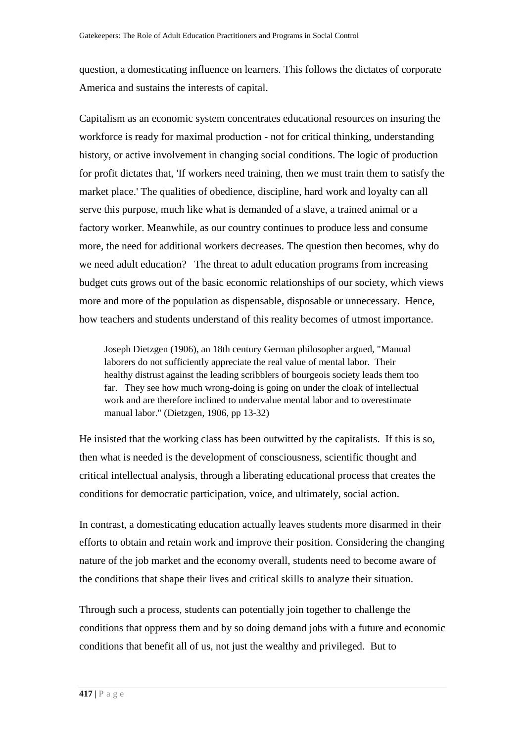question, a domesticating influence on learners. This follows the dictates of corporate America and sustains the interests of capital.

Capitalism as an economic system concentrates educational resources on insuring the workforce is ready for maximal production - not for critical thinking, understanding history, or active involvement in changing social conditions. The logic of production for profit dictates that, 'If workers need training, then we must train them to satisfy the market place.' The qualities of obedience, discipline, hard work and loyalty can all serve this purpose, much like what is demanded of a slave, a trained animal or a factory worker. Meanwhile, as our country continues to produce less and consume more, the need for additional workers decreases. The question then becomes, why do we need adult education? The threat to adult education programs from increasing budget cuts grows out of the basic economic relationships of our society, which views more and more of the population as dispensable, disposable or unnecessary. Hence, how teachers and students understand of this reality becomes of utmost importance.

Joseph Dietzgen (1906), an 18th century German philosopher argued, "Manual laborers do not sufficiently appreciate the real value of mental labor. Their healthy distrust against the leading scribblers of bourgeois society leads them too far. They see how much wrong-doing is going on under the cloak of intellectual work and are therefore inclined to undervalue mental labor and to overestimate manual labor." (Dietzgen, 1906, pp 13-32)

He insisted that the working class has been outwitted by the capitalists. If this is so, then what is needed is the development of consciousness, scientific thought and critical intellectual analysis, through a liberating educational process that creates the conditions for democratic participation, voice, and ultimately, social action.

In contrast, a domesticating education actually leaves students more disarmed in their efforts to obtain and retain work and improve their position. Considering the changing nature of the job market and the economy overall, students need to become aware of the conditions that shape their lives and critical skills to analyze their situation.

Through such a process, students can potentially join together to challenge the conditions that oppress them and by so doing demand jobs with a future and economic conditions that benefit all of us, not just the wealthy and privileged. But to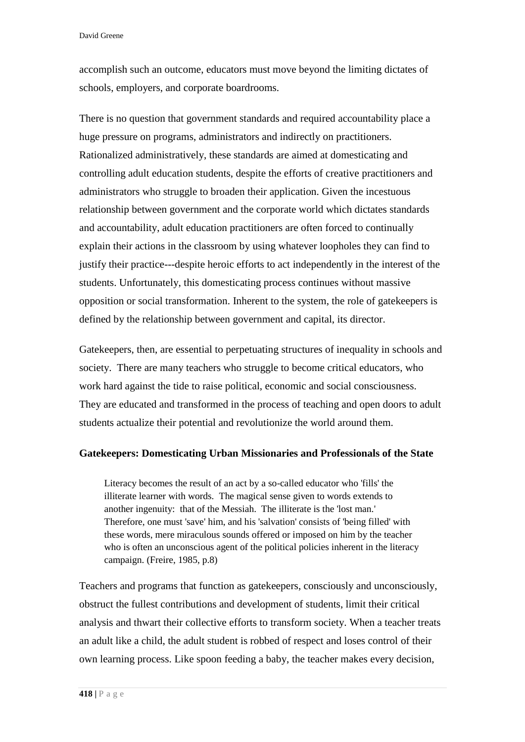David Greene

accomplish such an outcome, educators must move beyond the limiting dictates of schools, employers, and corporate boardrooms.

There is no question that government standards and required accountability place a huge pressure on programs, administrators and indirectly on practitioners. Rationalized administratively, these standards are aimed at domesticating and controlling adult education students, despite the efforts of creative practitioners and administrators who struggle to broaden their application. Given the incestuous relationship between government and the corporate world which dictates standards and accountability, adult education practitioners are often forced to continually explain their actions in the classroom by using whatever loopholes they can find to justify their practice---despite heroic efforts to act independently in the interest of the students. Unfortunately, this domesticating process continues without massive opposition or social transformation. Inherent to the system, the role of gatekeepers is defined by the relationship between government and capital, its director.

Gatekeepers, then, are essential to perpetuating structures of inequality in schools and society. There are many teachers who struggle to become critical educators, who work hard against the tide to raise political, economic and social consciousness. They are educated and transformed in the process of teaching and open doors to adult students actualize their potential and revolutionize the world around them.

#### **Gatekeepers: Domesticating Urban Missionaries and Professionals of the State**

Literacy becomes the result of an act by a so-called educator who 'fills' the illiterate learner with words. The magical sense given to words extends to another ingenuity: that of the Messiah. The illiterate is the 'lost man.' Therefore, one must 'save' him, and his 'salvation' consists of 'being filled' with these words, mere miraculous sounds offered or imposed on him by the teacher who is often an unconscious agent of the political policies inherent in the literacy campaign. (Freire, 1985, p.8)

Teachers and programs that function as gatekeepers, consciously and unconsciously, obstruct the fullest contributions and development of students, limit their critical analysis and thwart their collective efforts to transform society. When a teacher treats an adult like a child, the adult student is robbed of respect and loses control of their own learning process. Like spoon feeding a baby, the teacher makes every decision,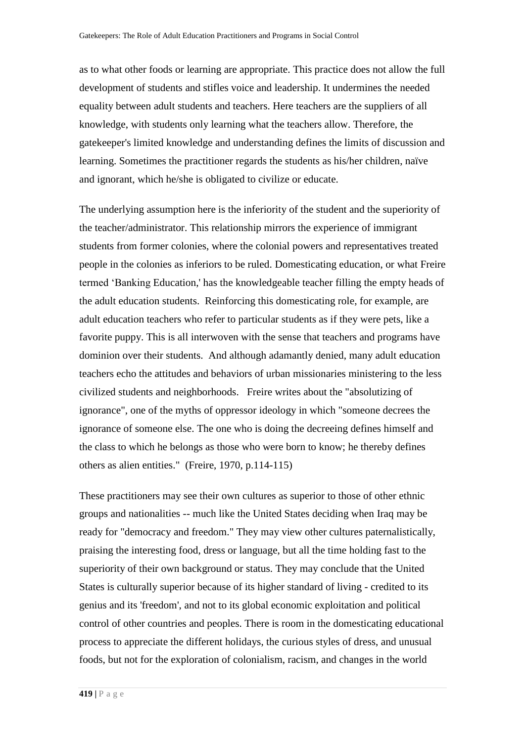as to what other foods or learning are appropriate. This practice does not allow the full development of students and stifles voice and leadership. It undermines the needed equality between adult students and teachers. Here teachers are the suppliers of all knowledge, with students only learning what the teachers allow. Therefore, the gatekeeper's limited knowledge and understanding defines the limits of discussion and learning. Sometimes the practitioner regards the students as his/her children, naïve and ignorant, which he/she is obligated to civilize or educate.

The underlying assumption here is the inferiority of the student and the superiority of the teacher/administrator. This relationship mirrors the experience of immigrant students from former colonies, where the colonial powers and representatives treated people in the colonies as inferiors to be ruled. Domesticating education, or what Freire termed 'Banking Education,' has the knowledgeable teacher filling the empty heads of the adult education students. Reinforcing this domesticating role, for example, are adult education teachers who refer to particular students as if they were pets, like a favorite puppy. This is all interwoven with the sense that teachers and programs have dominion over their students. And although adamantly denied, many adult education teachers echo the attitudes and behaviors of urban missionaries ministering to the less civilized students and neighborhoods. Freire writes about the "absolutizing of ignorance", one of the myths of oppressor ideology in which "someone decrees the ignorance of someone else. The one who is doing the decreeing defines himself and the class to which he belongs as those who were born to know; he thereby defines others as alien entities." (Freire, 1970, p.114-115)

These practitioners may see their own cultures as superior to those of other ethnic groups and nationalities -- much like the United States deciding when Iraq may be ready for "democracy and freedom." They may view other cultures paternalistically, praising the interesting food, dress or language, but all the time holding fast to the superiority of their own background or status. They may conclude that the United States is culturally superior because of its higher standard of living - credited to its genius and its 'freedom', and not to its global economic exploitation and political control of other countries and peoples. There is room in the domesticating educational process to appreciate the different holidays, the curious styles of dress, and unusual foods, but not for the exploration of colonialism, racism, and changes in the world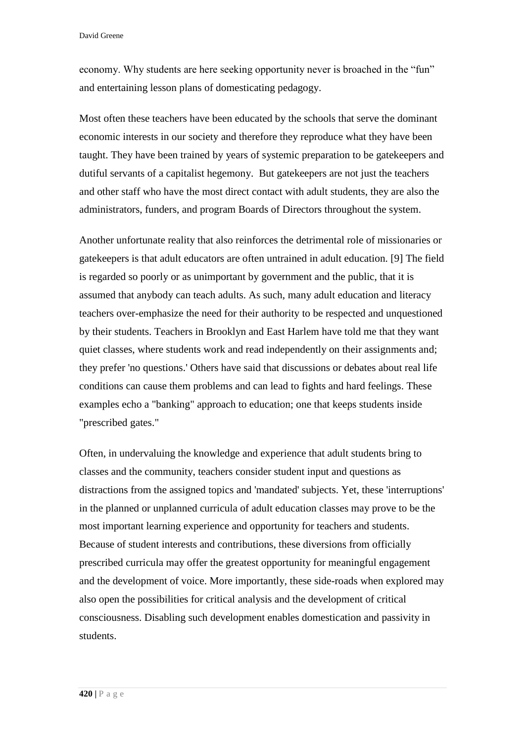economy. Why students are here seeking opportunity never is broached in the "fun" and entertaining lesson plans of domesticating pedagogy.

Most often these teachers have been educated by the schools that serve the dominant economic interests in our society and therefore they reproduce what they have been taught. They have been trained by years of systemic preparation to be gatekeepers and dutiful servants of a capitalist hegemony. But gatekeepers are not just the teachers and other staff who have the most direct contact with adult students, they are also the administrators, funders, and program Boards of Directors throughout the system.

Another unfortunate reality that also reinforces the detrimental role of missionaries or gatekeepers is that adult educators are often untrained in adult education. [9] The field is regarded so poorly or as unimportant by government and the public, that it is assumed that anybody can teach adults. As such, many adult education and literacy teachers over-emphasize the need for their authority to be respected and unquestioned by their students. Teachers in Brooklyn and East Harlem have told me that they want quiet classes, where students work and read independently on their assignments and; they prefer 'no questions.' Others have said that discussions or debates about real life conditions can cause them problems and can lead to fights and hard feelings. These examples echo a "banking" approach to education; one that keeps students inside "prescribed gates."

Often, in undervaluing the knowledge and experience that adult students bring to classes and the community, teachers consider student input and questions as distractions from the assigned topics and 'mandated' subjects. Yet, these 'interruptions' in the planned or unplanned curricula of adult education classes may prove to be the most important learning experience and opportunity for teachers and students. Because of student interests and contributions, these diversions from officially prescribed curricula may offer the greatest opportunity for meaningful engagement and the development of voice. More importantly, these side-roads when explored may also open the possibilities for critical analysis and the development of critical consciousness. Disabling such development enables domestication and passivity in students.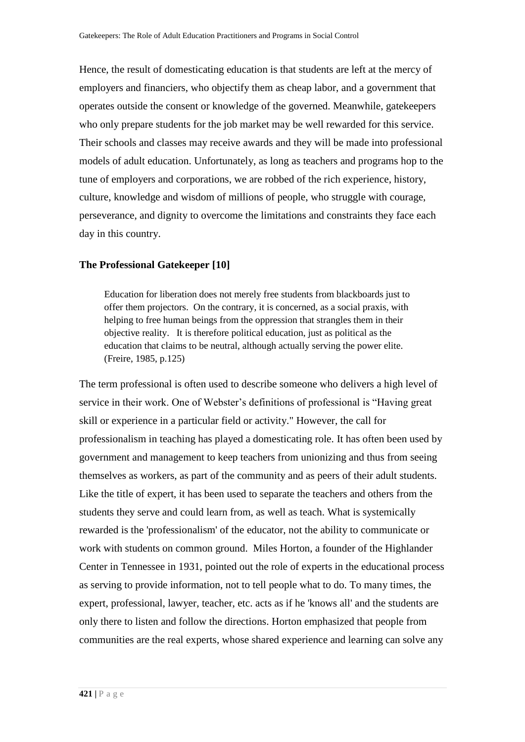Hence, the result of domesticating education is that students are left at the mercy of employers and financiers, who objectify them as cheap labor, and a government that operates outside the consent or knowledge of the governed. Meanwhile, gatekeepers who only prepare students for the job market may be well rewarded for this service. Their schools and classes may receive awards and they will be made into professional models of adult education. Unfortunately, as long as teachers and programs hop to the tune of employers and corporations, we are robbed of the rich experience, history, culture, knowledge and wisdom of millions of people, who struggle with courage, perseverance, and dignity to overcome the limitations and constraints they face each day in this country.

#### **The Professional Gatekeeper [10]**

Education for liberation does not merely free students from blackboards just to offer them projectors. On the contrary, it is concerned, as a social praxis, with helping to free human beings from the oppression that strangles them in their objective reality. It is therefore political education, just as political as the education that claims to be neutral, although actually serving the power elite. (Freire, 1985, p.125)

The term professional is often used to describe someone who delivers a high level of service in their work. One of Webster's definitions of professional is "Having great skill or experience in a particular field or activity." However, the call for professionalism in teaching has played a domesticating role. It has often been used by government and management to keep teachers from unionizing and thus from seeing themselves as workers, as part of the community and as peers of their adult students. Like the title of expert, it has been used to separate the teachers and others from the students they serve and could learn from, as well as teach. What is systemically rewarded is the 'professionalism' of the educator, not the ability to communicate or work with students on common ground. Miles Horton, a founder of the Highlander Center in Tennessee in 1931, pointed out the role of experts in the educational process as serving to provide information, not to tell people what to do. To many times, the expert, professional, lawyer, teacher, etc. acts as if he 'knows all' and the students are only there to listen and follow the directions. Horton emphasized that people from communities are the real experts, whose shared experience and learning can solve any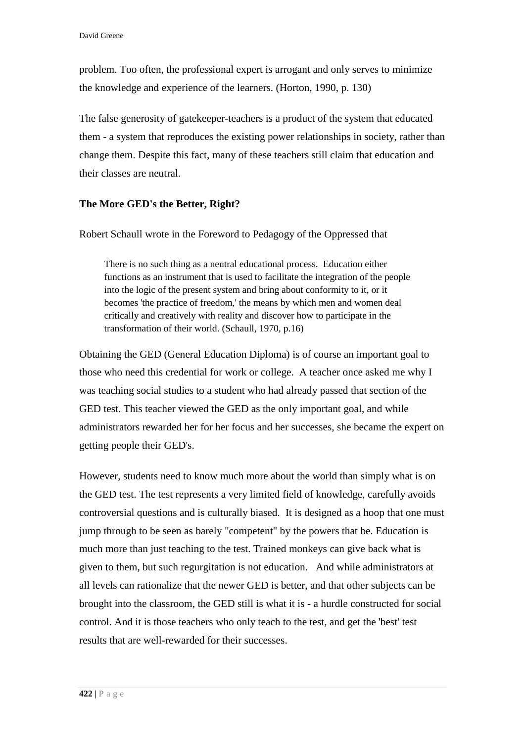problem. Too often, the professional expert is arrogant and only serves to minimize the knowledge and experience of the learners. (Horton, 1990, p. 130)

The false generosity of gatekeeper-teachers is a product of the system that educated them - a system that reproduces the existing power relationships in society, rather than change them. Despite this fact, many of these teachers still claim that education and their classes are neutral.

# **The More GED's the Better, Right?**

Robert Schaull wrote in the Foreword to Pedagogy of the Oppressed that

There is no such thing as a neutral educational process. Education either functions as an instrument that is used to facilitate the integration of the people into the logic of the present system and bring about conformity to it, or it becomes 'the practice of freedom,' the means by which men and women deal critically and creatively with reality and discover how to participate in the transformation of their world. (Schaull, 1970, p.16)

Obtaining the GED (General Education Diploma) is of course an important goal to those who need this credential for work or college. A teacher once asked me why I was teaching social studies to a student who had already passed that section of the GED test. This teacher viewed the GED as the only important goal, and while administrators rewarded her for her focus and her successes, she became the expert on getting people their GED's.

However, students need to know much more about the world than simply what is on the GED test. The test represents a very limited field of knowledge, carefully avoids controversial questions and is culturally biased. It is designed as a hoop that one must jump through to be seen as barely "competent" by the powers that be. Education is much more than just teaching to the test. Trained monkeys can give back what is given to them, but such regurgitation is not education. And while administrators at all levels can rationalize that the newer GED is better, and that other subjects can be brought into the classroom, the GED still is what it is - a hurdle constructed for social control. And it is those teachers who only teach to the test, and get the 'best' test results that are well-rewarded for their successes.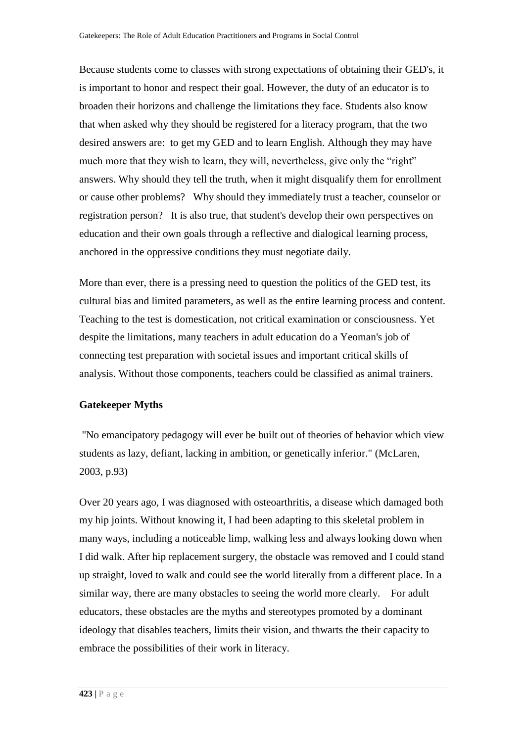Because students come to classes with strong expectations of obtaining their GED's, it is important to honor and respect their goal. However, the duty of an educator is to broaden their horizons and challenge the limitations they face. Students also know that when asked why they should be registered for a literacy program, that the two desired answers are: to get my GED and to learn English. Although they may have much more that they wish to learn, they will, nevertheless, give only the "right" answers. Why should they tell the truth, when it might disqualify them for enrollment or cause other problems? Why should they immediately trust a teacher, counselor or registration person? It is also true, that student's develop their own perspectives on education and their own goals through a reflective and dialogical learning process, anchored in the oppressive conditions they must negotiate daily.

More than ever, there is a pressing need to question the politics of the GED test, its cultural bias and limited parameters, as well as the entire learning process and content. Teaching to the test is domestication, not critical examination or consciousness. Yet despite the limitations, many teachers in adult education do a Yeoman's job of connecting test preparation with societal issues and important critical skills of analysis. Without those components, teachers could be classified as animal trainers.

#### **Gatekeeper Myths**

"No emancipatory pedagogy will ever be built out of theories of behavior which view students as lazy, defiant, lacking in ambition, or genetically inferior." (McLaren, 2003, p.93)

Over 20 years ago, I was diagnosed with osteoarthritis, a disease which damaged both my hip joints. Without knowing it, I had been adapting to this skeletal problem in many ways, including a noticeable limp, walking less and always looking down when I did walk. After hip replacement surgery, the obstacle was removed and I could stand up straight, loved to walk and could see the world literally from a different place. In a similar way, there are many obstacles to seeing the world more clearly. For adult educators, these obstacles are the myths and stereotypes promoted by a dominant ideology that disables teachers, limits their vision, and thwarts the their capacity to embrace the possibilities of their work in literacy.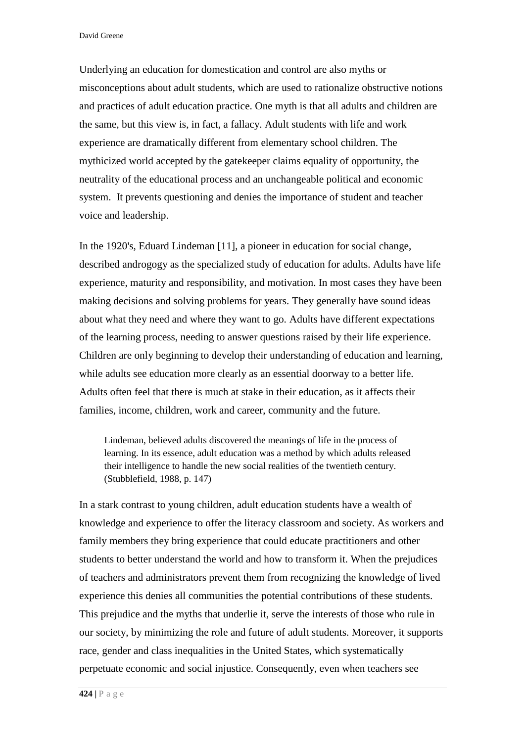David Greene

Underlying an education for domestication and control are also myths or misconceptions about adult students, which are used to rationalize obstructive notions and practices of adult education practice. One myth is that all adults and children are the same, but this view is, in fact, a fallacy. Adult students with life and work experience are dramatically different from elementary school children. The mythicized world accepted by the gatekeeper claims equality of opportunity, the neutrality of the educational process and an unchangeable political and economic system. It prevents questioning and denies the importance of student and teacher voice and leadership.

In the 1920's, Eduard Lindeman [11], a pioneer in education for social change, described androgogy as the specialized study of education for adults. Adults have life experience, maturity and responsibility, and motivation. In most cases they have been making decisions and solving problems for years. They generally have sound ideas about what they need and where they want to go. Adults have different expectations of the learning process, needing to answer questions raised by their life experience. Children are only beginning to develop their understanding of education and learning, while adults see education more clearly as an essential doorway to a better life. Adults often feel that there is much at stake in their education, as it affects their families, income, children, work and career, community and the future.

Lindeman, believed adults discovered the meanings of life in the process of learning. In its essence, adult education was a method by which adults released their intelligence to handle the new social realities of the twentieth century. (Stubblefield, 1988, p. 147)

In a stark contrast to young children, adult education students have a wealth of knowledge and experience to offer the literacy classroom and society. As workers and family members they bring experience that could educate practitioners and other students to better understand the world and how to transform it. When the prejudices of teachers and administrators prevent them from recognizing the knowledge of lived experience this denies all communities the potential contributions of these students. This prejudice and the myths that underlie it, serve the interests of those who rule in our society, by minimizing the role and future of adult students. Moreover, it supports race, gender and class inequalities in the United States, which systematically perpetuate economic and social injustice. Consequently, even when teachers see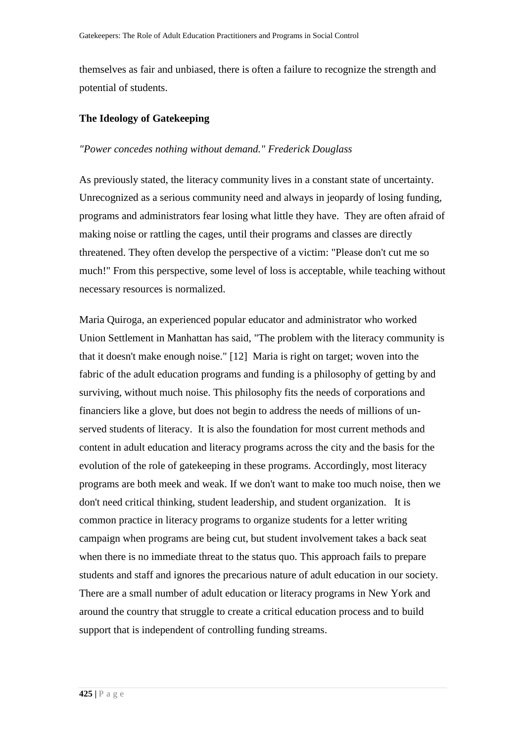themselves as fair and unbiased, there is often a failure to recognize the strength and potential of students.

### **The Ideology of Gatekeeping**

### *"Power concedes nothing without demand." Frederick Douglass*

As previously stated, the literacy community lives in a constant state of uncertainty. Unrecognized as a serious community need and always in jeopardy of losing funding, programs and administrators fear losing what little they have. They are often afraid of making noise or rattling the cages, until their programs and classes are directly threatened. They often develop the perspective of a victim: "Please don't cut me so much!" From this perspective, some level of loss is acceptable, while teaching without necessary resources is normalized.

Maria Quiroga, an experienced popular educator and administrator who worked Union Settlement in Manhattan has said, "The problem with the literacy community is that it doesn't make enough noise." [12] Maria is right on target; woven into the fabric of the adult education programs and funding is a philosophy of getting by and surviving, without much noise. This philosophy fits the needs of corporations and financiers like a glove, but does not begin to address the needs of millions of unserved students of literacy. It is also the foundation for most current methods and content in adult education and literacy programs across the city and the basis for the evolution of the role of gatekeeping in these programs. Accordingly, most literacy programs are both meek and weak. If we don't want to make too much noise, then we don't need critical thinking, student leadership, and student organization. It is common practice in literacy programs to organize students for a letter writing campaign when programs are being cut, but student involvement takes a back seat when there is no immediate threat to the status quo. This approach fails to prepare students and staff and ignores the precarious nature of adult education in our society. There are a small number of adult education or literacy programs in New York and around the country that struggle to create a critical education process and to build support that is independent of controlling funding streams.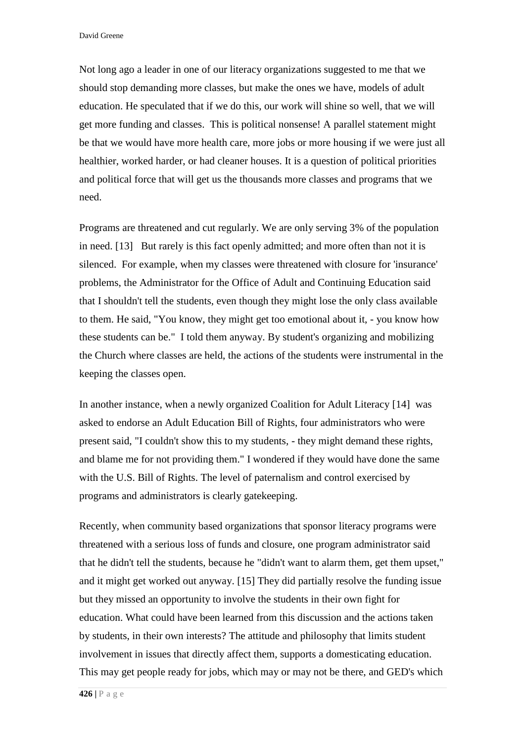David Greene

Not long ago a leader in one of our literacy organizations suggested to me that we should stop demanding more classes, but make the ones we have, models of adult education. He speculated that if we do this, our work will shine so well, that we will get more funding and classes. This is political nonsense! A parallel statement might be that we would have more health care, more jobs or more housing if we were just all healthier, worked harder, or had cleaner houses. It is a question of political priorities and political force that will get us the thousands more classes and programs that we need.

Programs are threatened and cut regularly. We are only serving 3% of the population in need. [13] But rarely is this fact openly admitted; and more often than not it is silenced. For example, when my classes were threatened with closure for 'insurance' problems, the Administrator for the Office of Adult and Continuing Education said that I shouldn't tell the students, even though they might lose the only class available to them. He said, "You know, they might get too emotional about it, - you know how these students can be." I told them anyway. By student's organizing and mobilizing the Church where classes are held, the actions of the students were instrumental in the keeping the classes open.

In another instance, when a newly organized Coalition for Adult Literacy [14] was asked to endorse an Adult Education Bill of Rights, four administrators who were present said, "I couldn't show this to my students, - they might demand these rights, and blame me for not providing them." I wondered if they would have done the same with the U.S. Bill of Rights. The level of paternalism and control exercised by programs and administrators is clearly gatekeeping.

Recently, when community based organizations that sponsor literacy programs were threatened with a serious loss of funds and closure, one program administrator said that he didn't tell the students, because he "didn't want to alarm them, get them upset," and it might get worked out anyway. [15] They did partially resolve the funding issue but they missed an opportunity to involve the students in their own fight for education. What could have been learned from this discussion and the actions taken by students, in their own interests? The attitude and philosophy that limits student involvement in issues that directly affect them, supports a domesticating education. This may get people ready for jobs, which may or may not be there, and GED's which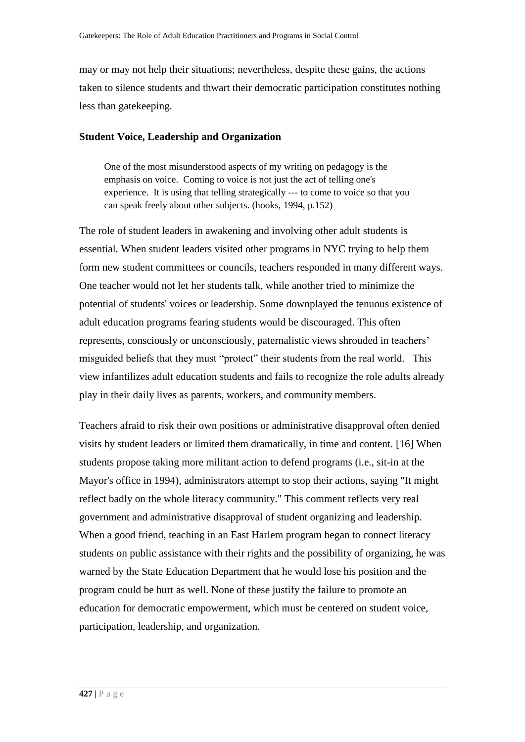may or may not help their situations; nevertheless, despite these gains, the actions taken to silence students and thwart their democratic participation constitutes nothing less than gatekeeping.

#### **Student Voice, Leadership and Organization**

One of the most misunderstood aspects of my writing on pedagogy is the emphasis on voice. Coming to voice is not just the act of telling one's experience. It is using that telling strategically --- to come to voice so that you can speak freely about other subjects. (hooks, 1994, p.152)

The role of student leaders in awakening and involving other adult students is essential. When student leaders visited other programs in NYC trying to help them form new student committees or councils, teachers responded in many different ways. One teacher would not let her students talk, while another tried to minimize the potential of students' voices or leadership. Some downplayed the tenuous existence of adult education programs fearing students would be discouraged. This often represents, consciously or unconsciously, paternalistic views shrouded in teachers' misguided beliefs that they must "protect" their students from the real world. This view infantilizes adult education students and fails to recognize the role adults already play in their daily lives as parents, workers, and community members.

Teachers afraid to risk their own positions or administrative disapproval often denied visits by student leaders or limited them dramatically, in time and content. [16] When students propose taking more militant action to defend programs (i.e., sit-in at the Mayor's office in 1994), administrators attempt to stop their actions, saying "It might reflect badly on the whole literacy community." This comment reflects very real government and administrative disapproval of student organizing and leadership. When a good friend, teaching in an East Harlem program began to connect literacy students on public assistance with their rights and the possibility of organizing, he was warned by the State Education Department that he would lose his position and the program could be hurt as well. None of these justify the failure to promote an education for democratic empowerment, which must be centered on student voice, participation, leadership, and organization.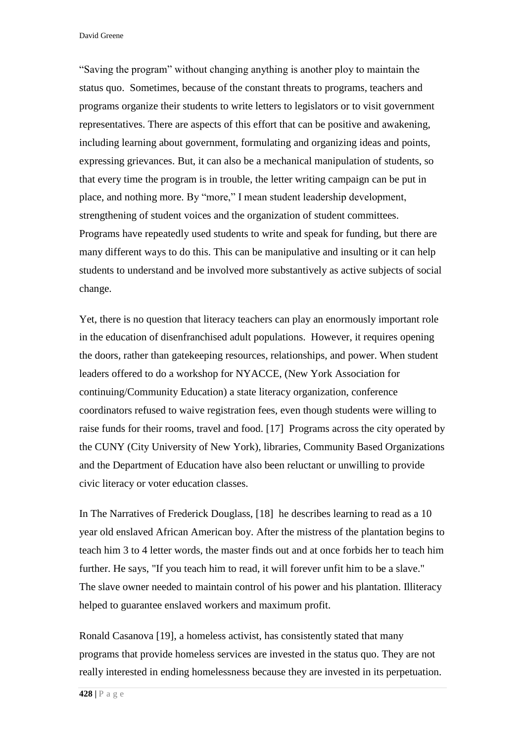David Greene

"Saving the program" without changing anything is another ploy to maintain the status quo. Sometimes, because of the constant threats to programs, teachers and programs organize their students to write letters to legislators or to visit government representatives. There are aspects of this effort that can be positive and awakening, including learning about government, formulating and organizing ideas and points, expressing grievances. But, it can also be a mechanical manipulation of students, so that every time the program is in trouble, the letter writing campaign can be put in place, and nothing more. By "more," I mean student leadership development, strengthening of student voices and the organization of student committees. Programs have repeatedly used students to write and speak for funding, but there are many different ways to do this. This can be manipulative and insulting or it can help students to understand and be involved more substantively as active subjects of social change.

Yet, there is no question that literacy teachers can play an enormously important role in the education of disenfranchised adult populations. However, it requires opening the doors, rather than gatekeeping resources, relationships, and power. When student leaders offered to do a workshop for NYACCE, (New York Association for continuing/Community Education) a state literacy organization, conference coordinators refused to waive registration fees, even though students were willing to raise funds for their rooms, travel and food. [17] Programs across the city operated by the CUNY (City University of New York), libraries, Community Based Organizations and the Department of Education have also been reluctant or unwilling to provide civic literacy or voter education classes.

In The Narratives of Frederick Douglass, [18] he describes learning to read as a 10 year old enslaved African American boy. After the mistress of the plantation begins to teach him 3 to 4 letter words, the master finds out and at once forbids her to teach him further. He says, "If you teach him to read, it will forever unfit him to be a slave." The slave owner needed to maintain control of his power and his plantation. Illiteracy helped to guarantee enslaved workers and maximum profit.

Ronald Casanova [19], a homeless activist, has consistently stated that many programs that provide homeless services are invested in the status quo. They are not really interested in ending homelessness because they are invested in its perpetuation.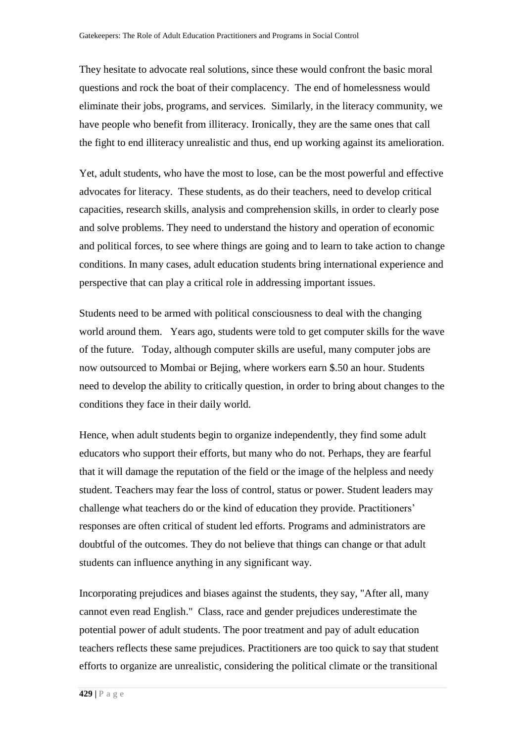They hesitate to advocate real solutions, since these would confront the basic moral questions and rock the boat of their complacency. The end of homelessness would eliminate their jobs, programs, and services. Similarly, in the literacy community, we have people who benefit from illiteracy. Ironically, they are the same ones that call the fight to end illiteracy unrealistic and thus, end up working against its amelioration.

Yet, adult students, who have the most to lose, can be the most powerful and effective advocates for literacy. These students, as do their teachers, need to develop critical capacities, research skills, analysis and comprehension skills, in order to clearly pose and solve problems. They need to understand the history and operation of economic and political forces, to see where things are going and to learn to take action to change conditions. In many cases, adult education students bring international experience and perspective that can play a critical role in addressing important issues.

Students need to be armed with political consciousness to deal with the changing world around them. Years ago, students were told to get computer skills for the wave of the future. Today, although computer skills are useful, many computer jobs are now outsourced to Mombai or Bejing, where workers earn \$.50 an hour. Students need to develop the ability to critically question, in order to bring about changes to the conditions they face in their daily world.

Hence, when adult students begin to organize independently, they find some adult educators who support their efforts, but many who do not. Perhaps, they are fearful that it will damage the reputation of the field or the image of the helpless and needy student. Teachers may fear the loss of control, status or power. Student leaders may challenge what teachers do or the kind of education they provide. Practitioners' responses are often critical of student led efforts. Programs and administrators are doubtful of the outcomes. They do not believe that things can change or that adult students can influence anything in any significant way.

Incorporating prejudices and biases against the students, they say, "After all, many cannot even read English." Class, race and gender prejudices underestimate the potential power of adult students. The poor treatment and pay of adult education teachers reflects these same prejudices. Practitioners are too quick to say that student efforts to organize are unrealistic, considering the political climate or the transitional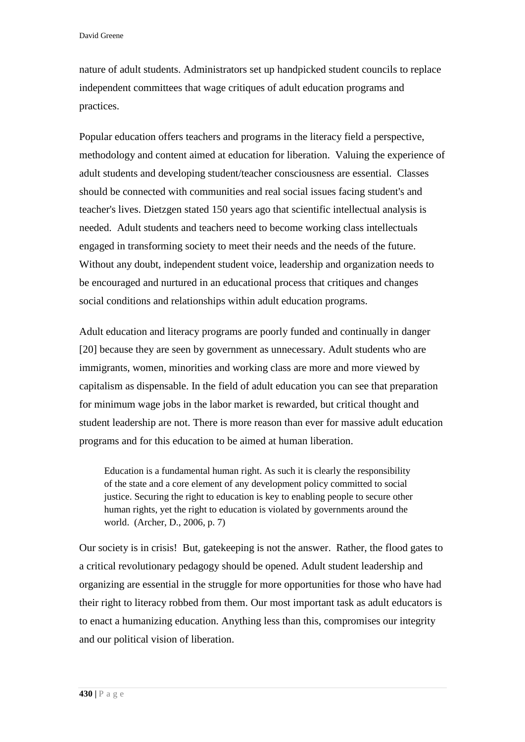nature of adult students. Administrators set up handpicked student councils to replace independent committees that wage critiques of adult education programs and practices.

Popular education offers teachers and programs in the literacy field a perspective, methodology and content aimed at education for liberation. Valuing the experience of adult students and developing student/teacher consciousness are essential. Classes should be connected with communities and real social issues facing student's and teacher's lives. Dietzgen stated 150 years ago that scientific intellectual analysis is needed. Adult students and teachers need to become working class intellectuals engaged in transforming society to meet their needs and the needs of the future. Without any doubt, independent student voice, leadership and organization needs to be encouraged and nurtured in an educational process that critiques and changes social conditions and relationships within adult education programs.

Adult education and literacy programs are poorly funded and continually in danger [20] because they are seen by government as unnecessary. Adult students who are immigrants, women, minorities and working class are more and more viewed by capitalism as dispensable. In the field of adult education you can see that preparation for minimum wage jobs in the labor market is rewarded, but critical thought and student leadership are not. There is more reason than ever for massive adult education programs and for this education to be aimed at human liberation.

Education is a fundamental human right. As such it is clearly the responsibility of the state and a core element of any development policy committed to social justice. Securing the right to education is key to enabling people to secure other human rights, yet the right to education is violated by governments around the world. (Archer, D., 2006, p. 7)

Our society is in crisis! But, gatekeeping is not the answer. Rather, the flood gates to a critical revolutionary pedagogy should be opened. Adult student leadership and organizing are essential in the struggle for more opportunities for those who have had their right to literacy robbed from them. Our most important task as adult educators is to enact a humanizing education. Anything less than this, compromises our integrity and our political vision of liberation.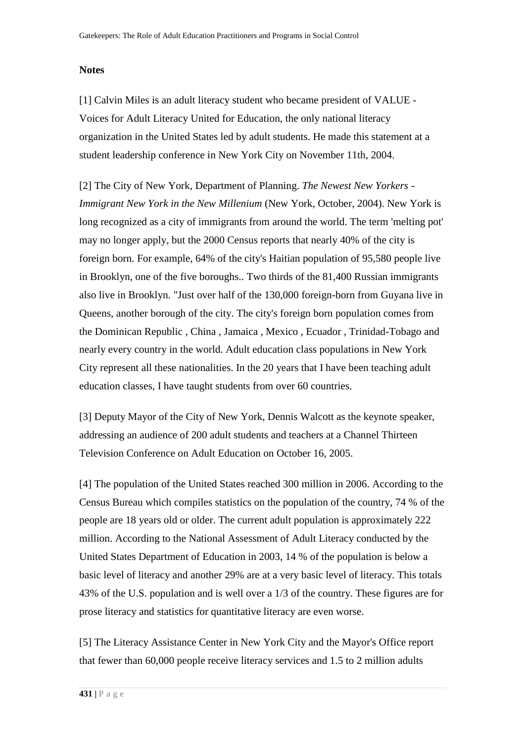### **Notes**

[\[1\]](http://www.jceps.com/index.php?pageID=article&articleID=107#_ednref1) Calvin Miles is an adult literacy student who became president of VALUE - Voices for Adult Literacy United for Education, the only national literacy organization in the United States led by adult students. He made this statement at a student leadership conference in New York City on November 11th, 2004.

[\[2\]](http://www.jceps.com/index.php?pageID=article&articleID=107#_ednref2) The City of New York, Department of Planning. *The Newest New Yorkers - Immigrant New York in the New Millenium* (New York, October, 2004). New York is long recognized as a city of immigrants from around the world. The term 'melting pot' may no longer apply, but the 2000 Census reports that nearly 40% of the city is foreign born. For example, 64% of the city's Haitian population of 95,580 people live in Brooklyn, one of the five boroughs.. Two thirds of the 81,400 Russian immigrants also live in Brooklyn. "Just over half of the 130,000 foreign-born from Guyana live in Queens, another borough of the city. The city's foreign born population comes from the Dominican Republic , China , Jamaica , Mexico , Ecuador , Trinidad-Tobago and nearly every country in the world. Adult education class populations in New York City represent all these nationalities. In the 20 years that I have been teaching adult education classes, I have taught students from over 60 countries.

[\[3\]](http://www.jceps.com/index.php?pageID=article&articleID=107#_ednref3) Deputy Mayor of the City of New York, Dennis Walcott as the keynote speaker, addressing an audience of 200 adult students and teachers at a Channel Thirteen Television Conference on Adult Education on October 16, 2005.

[\[4\]](http://www.jceps.com/index.php?pageID=article&articleID=107#_ednref4) The population of the United States reached 300 million in 2006. According to the Census Bureau which compiles statistics on the population of the country, 74 % of the people are 18 years old or older. The current adult population is approximately 222 million. According to the National Assessment of Adult Literacy conducted by the United States Department of Education in 2003, 14 % of the population is below a basic level of literacy and another 29% are at a very basic level of literacy. This totals 43% of the U.S. population and is well over a 1/3 of the country. These figures are for prose literacy and statistics for quantitative literacy are even worse.

[\[5\]](http://www.jceps.com/index.php?pageID=article&articleID=107#_ednref5) The Literacy Assistance Center in New York City and the Mayor's Office report that fewer than 60,000 people receive literacy services and 1.5 to 2 million adults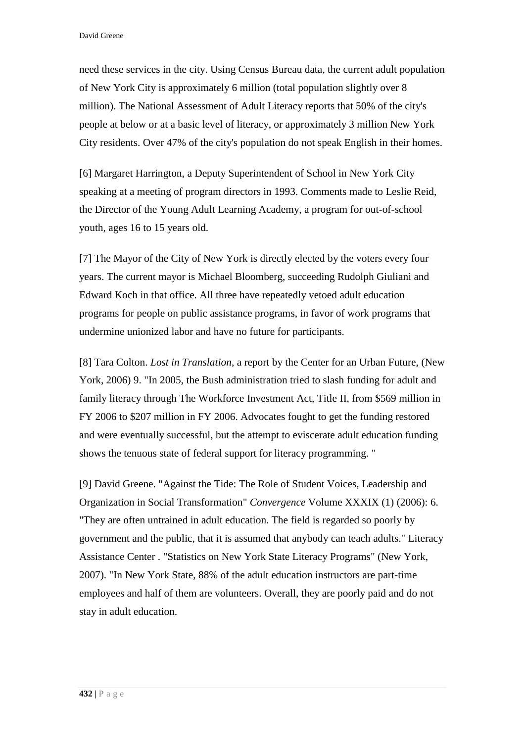need these services in the city. Using Census Bureau data, the current adult population of New York City is approximately 6 million (total population slightly over 8 million). The National Assessment of Adult Literacy reports that 50% of the city's people at below or at a basic level of literacy, or approximately 3 million New York City residents. Over 47% of the city's population do not speak English in their homes.

[\[6\]](http://www.jceps.com/index.php?pageID=article&articleID=107#_ednref6) Margaret Harrington, a Deputy Superintendent of School in New York City speaking at a meeting of program directors in 1993. Comments made to Leslie Reid, the Director of the Young Adult Learning Academy, a program for out-of-school youth, ages 16 to 15 years old.

[\[7\]](http://www.jceps.com/index.php?pageID=article&articleID=107#_ednref7) The Mayor of the City of New York is directly elected by the voters every four years. The current mayor is Michael Bloomberg, succeeding Rudolph Giuliani and Edward Koch in that office. All three have repeatedly vetoed adult education programs for people on public assistance programs, in favor of work programs that undermine unionized labor and have no future for participants.

[\[8\]](http://www.jceps.com/index.php?pageID=article&articleID=107#_ednref8) Tara Colton. *Lost in Translation*, a report by the Center for an Urban Future, (New York, 2006) 9. "In 2005, the Bush administration tried to slash funding for adult and family literacy through The Workforce Investment Act, Title II, from \$569 million in FY 2006 to \$207 million in FY 2006. Advocates fought to get the funding restored and were eventually successful, but the attempt to eviscerate adult education funding shows the tenuous state of federal support for literacy programming. "

[\[9\]](http://www.jceps.com/index.php?pageID=article&articleID=107#_ednref9) David Greene. "Against the Tide: The Role of Student Voices, Leadership and Organization in Social Transformation" *Convergence* Volume XXXIX (1) (2006): 6. "They are often untrained in adult education. The field is regarded so poorly by government and the public, that it is assumed that anybody can teach adults." Literacy Assistance Center . "Statistics on New York State Literacy Programs" (New York, 2007). "In New York State, 88% of the adult education instructors are part-time employees and half of them are volunteers. Overall, they are poorly paid and do not stay in adult education.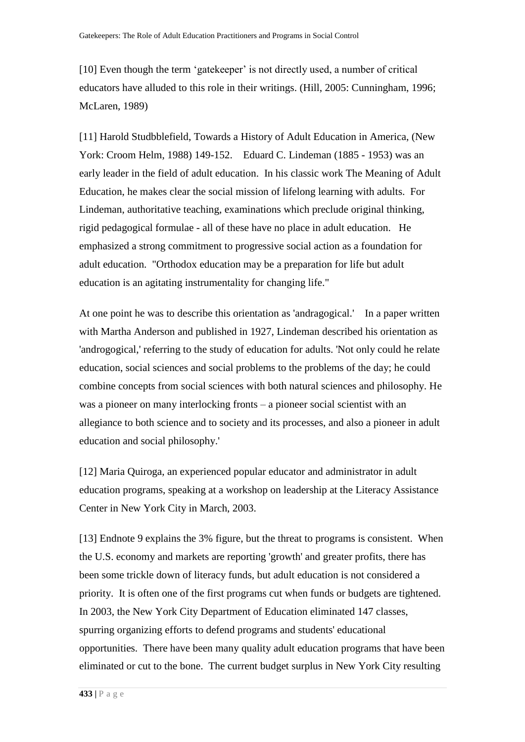[10] Even though the term 'gatekeeper' is not directly used, a number of critical educators have alluded to this role in their writings. (Hill, 2005: Cunningham, 1996; McLaren, 1989)

[11] Harold Studbblefield, Towards a History of Adult Education in America, (New York: Croom Helm, 1988) 149-152. Eduard C. Lindeman (1885 - 1953) was an early leader in the field of adult education. In his classic work The Meaning of Adult Education, he makes clear the social mission of lifelong learning with adults. For Lindeman, authoritative teaching, examinations which preclude original thinking, rigid pedagogical formulae - all of these have no place in adult education. He emphasized a strong commitment to progressive social action as a foundation for adult education. "Orthodox education may be a preparation for life but adult education is an agitating instrumentality for changing life."

At one point he was to describe this orientation as ['andragogical.](http://www.infed.org/lifelonglearning/b-andra.htm)' In a paper written with Martha Anderson and published in 1927, Lindeman described his orientation as 'androgogical,' referring to the study of education for adults. 'Not only could he relate education, social sciences and social problems to the problems of the day; he could combine concepts from social sciences with both natural sciences and philosophy. He was a pioneer on many interlocking fronts – a pioneer social scientist with an allegiance to both science and to society and its processes, and also a pioneer in adult education and social philosophy.'

[12] Maria Quiroga, an experienced popular educator and administrator in adult education programs, speaking at a workshop on leadership at the Literacy Assistance Center in New York City in March, 2003.

[13] Endnote 9 explains the 3% figure, but the threat to programs is consistent. When the U.S. economy and markets are reporting 'growth' and greater profits, there has been some trickle down of literacy funds, but adult education is not considered a priority. It is often one of the first programs cut when funds or budgets are tightened. In 2003, the New York City Department of Education eliminated 147 classes, spurring organizing efforts to defend programs and students' educational opportunities. There have been many quality adult education programs that have been eliminated or cut to the bone. The current budget surplus in New York City resulting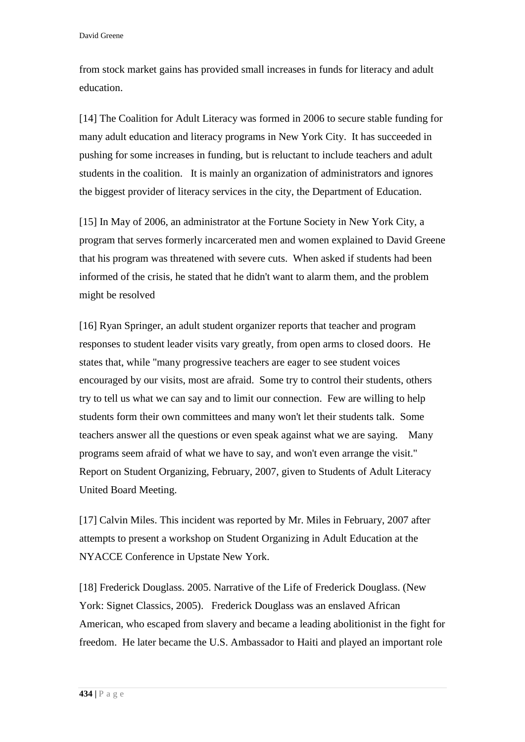from stock market gains has provided small increases in funds for literacy and adult education.

[14] The Coalition for Adult Literacy was formed in 2006 to secure stable funding for many adult education and literacy programs in New York City. It has succeeded in pushing for some increases in funding, but is reluctant to include teachers and adult students in the coalition. It is mainly an organization of administrators and ignores the biggest provider of literacy services in the city, the Department of Education.

[15] In May of 2006, an administrator at the Fortune Society in New York City, a program that serves formerly incarcerated men and women explained to David Greene that his program was threatened with severe cuts. When asked if students had been informed of the crisis, he stated that he didn't want to alarm them, and the problem might be resolved

[16] Ryan Springer, an adult student organizer reports that teacher and program responses to student leader visits vary greatly, from open arms to closed doors. He states that, while "many progressive teachers are eager to see student voices encouraged by our visits, most are afraid. Some try to control their students, others try to tell us what we can say and to limit our connection. Few are willing to help students form their own committees and many won't let their students talk. Some teachers answer all the questions or even speak against what we are saying. Many programs seem afraid of what we have to say, and won't even arrange the visit." Report on Student Organizing, February, 2007, given to Students of Adult Literacy United Board Meeting.

[17] Calvin Miles. This incident was reported by Mr. Miles in February, 2007 after attempts to present a workshop on Student Organizing in Adult Education at the NYACCE Conference in Upstate New York.

[18] Frederick Douglass. 2005. Narrative of the Life of Frederick Douglass. (New York: Signet Classics, 2005). Frederick Douglass was an enslaved African American, who escaped from slavery and became a leading abolitionist in the fight for freedom. He later became the U.S. Ambassador to Haiti and played an important role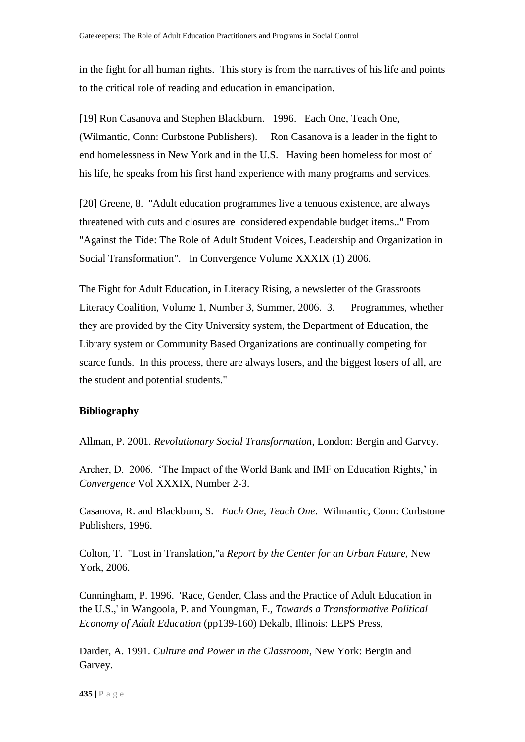in the fight for all human rights. This story is from the narratives of his life and points to the critical role of reading and education in emancipation.

[19] Ron Casanova and Stephen Blackburn. 1996. Each One, Teach One, (Wilmantic, Conn: Curbstone Publishers). Ron Casanova is a leader in the fight to end homelessness in New York and in the U.S. Having been homeless for most of his life, he speaks from his first hand experience with many programs and services.

[20] Greene, 8. "Adult education programmes live a tenuous existence, are always threatened with cuts and closures are considered expendable budget items.." From "Against the Tide: The Role of Adult Student Voices, Leadership and Organization in Social Transformation". In Convergence Volume XXXIX (1) 2006.

The Fight for Adult Education, in Literacy Rising, a newsletter of the Grassroots Literacy Coalition, Volume 1, Number 3, Summer, 2006. 3. Programmes, whether they are provided by the City University system, the Department of Education, the Library system or Community Based Organizations are continually competing for scarce funds. In this process, there are always losers, and the biggest losers of all, are the student and potential students."

# **Bibliography**

Allman, P. 2001. *Revolutionary Social Transformation*, London: Bergin and Garvey.

Archer, D. 2006. 'The Impact of the World Bank and IMF on Education Rights,' in *Convergence* Vol XXXIX, Number 2-3.

Casanova, R. and Blackburn, S*. Each One, Teach One*. Wilmantic, Conn: Curbstone Publishers, 1996.

Colton, T. "Lost in Translation,"a *Report by the Center for an Urban Future*, New York, 2006.

Cunningham, P. 1996. 'Race, Gender, Class and the Practice of Adult Education in the U.S.,' in Wangoola, P. and Youngman, F., *Towards a Transformative Political Economy of Adult Education* (pp139-160) Dekalb, Illinois: LEPS Press,

Darder, A. 1991. *Culture and Power in the Classroom*, New York: Bergin and Garvey.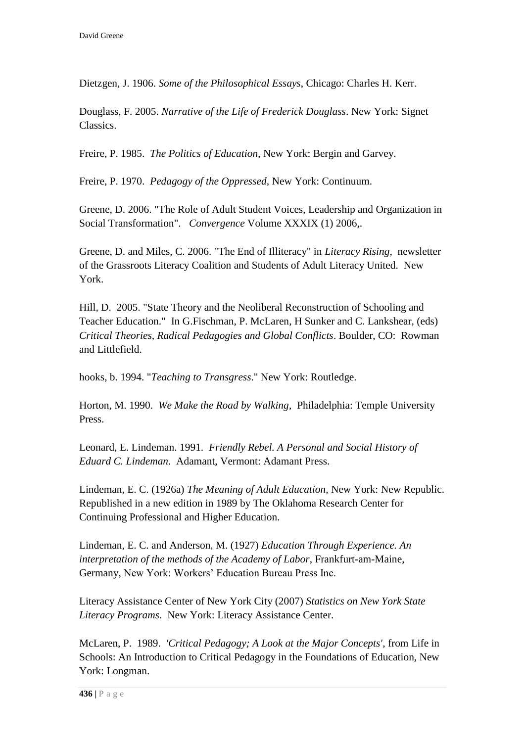Dietzgen, J. 1906. *Some of the Philosophical Essays*, Chicago: Charles H. Kerr.

Douglass, F. 2005. *Narrative of the Life of Frederick Douglass*. New York: Signet Classics.

Freire, P. 1985. *The Politics of Education*, New York: Bergin and Garvey.

Freire, P. 1970. *Pedagogy of the Oppressed*, New York: Continuum.

Greene, D. 2006. "The Role of Adult Student Voices, Leadership and Organization in Social Transformation". *Convergence* Volume XXXIX (1) 2006,.

Greene, D. and Miles, C. 2006. "The End of Illiteracy" in *Literacy Rising*, newsletter of the Grassroots Literacy Coalition and Students of Adult Literacy United. New York.

Hill, D. 2005. "State Theory and the Neoliberal Reconstruction of Schooling and Teacher Education." In G.Fischman, P. McLaren, H Sunker and C. Lankshear, (eds) *Critical Theories, Radical Pedagogies and Global Conflicts*. Boulder, CO: Rowman and Littlefield.

hooks, b. 1994. "*Teaching to Transgress*." New York: Routledge.

Horton, M. 1990. *We Make the Road by Walking*, Philadelphia: Temple University Press.

Leonard, E. Lindeman. 1991. *Friendly Rebel. A Personal and Social History of Eduard C. Lindeman*. Adamant, Vermont: Adamant Press.

Lindeman, E. C. (1926a) *The Meaning of Adult Education*, New York: New Republic. Republished in a new edition in 1989 by The Oklahoma Research Center for Continuing Professional and Higher Education.

Lindeman, E. C. and Anderson, M. (1927) *Education Through Experience. An interpretation of the methods of the Academy of Labor*, Frankfurt-am-Maine, Germany, New York: Workers' Education Bureau Press Inc.

Literacy Assistance Center of New York City (2007) *Statistics on New York State Literacy Programs*. New York: Literacy Assistance Center.

McLaren, P. 1989. *'Critical Pedagogy; A Look at the Major Concepts'*, from Life in Schools: An Introduction to Critical Pedagogy in the Foundations of Education, New York: Longman.